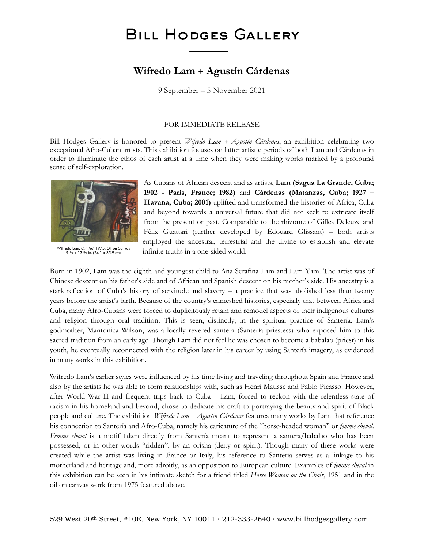# BILL HODGES GALLERY

### **Wifredo Lam + Agustín Cárdenas**

9 September – 5 November 2021

#### FOR IMMEDIATE RELEASE

Bill Hodges Gallery is honored to present *Wifredo Lam + Agustín Cárdenas*, an exhibition celebrating two exceptional Afro-Cuban artists*.* This exhibition focuses on latter artistic periods of both Lam and Cárdenas in order to illuminate the ethos of each artist at a time when they were making works marked by a profound sense of self-exploration.



Wifredo Lam, *Untitled*, 1975, Oil on Canvas 9 ½ x 13 ¾ in. (24.1 x 35.9 cm)

As Cubans of African descent and as artists, **Lam (Sagua La Grande, Cuba; 1902 - Paris, France; 1982)** and **Cárdenas (Matanzas, Cuba; 1927 – Havana, Cuba; 2001)** uplifted and transformed the histories of Africa, Cuba and beyond towards a universal future that did not seek to extricate itself from the present or past. Comparable to the rhizome of Gilles Deleuze and Félix Guattari (further developed by Édouard Glissant) – both artists employed the ancestral, terrestrial and the divine to establish and elevate infinite truths in a one-sided world.

Born in 1902, Lam was the eighth and youngest child to Ana Serafina Lam and Lam Yam. The artist was of Chinese descent on his father's side and of African and Spanish descent on his mother's side. His ancestry is a stark reflection of Cuba's history of servitude and slavery – a practice that was abolished less than twenty years before the artist's birth. Because of the country's enmeshed histories, especially that between Africa and Cuba, many Afro-Cubans were forced to duplicitously retain and remodel aspects of their indigenous cultures and religion through oral tradition. This is seen, distinctly, in the spiritual practice of Santería. Lam's godmother, Mantonica Wilson, was a locally revered santera (Santería priestess) who exposed him to this sacred tradition from an early age. Though Lam did not feel he was chosen to become a babalao (priest) in his youth, he eventually reconnected with the religion later in his career by using Santería imagery, as evidenced in many works in this exhibition.

Wifredo Lam's earlier styles were influenced by his time living and traveling throughout Spain and France and also by the artists he was able to form relationships with, such as Henri Matisse and Pablo Picasso. However, after World War II and frequent trips back to Cuba – Lam, forced to reckon with the relentless state of racism in his homeland and beyond, chose to dedicate his craft to portraying the beauty and spirit of Black people and culture. The exhibition *Wifredo Lam + Agustín Cárdenas* features many works by Lam that reference his connection to Santería and Afro-Cuba, namely his caricature of the "horse-headed woman" or *femme cheval*. *Femme cheval* is a motif taken directly from Santería meant to represent a santera/babalao who has been possessed, or in other words "ridden", by an orisha (deity or spirit). Though many of these works were created while the artist was living in France or Italy, his reference to Santería serves as a linkage to his motherland and heritage and, more adroitly, as an opposition to European culture. Examples of *femme cheval* in this exhibition can be seen in his intimate sketch for a friend titled *Horse Woman on the Chair*, 1951 and in the oil on canvas work from 1975 featured above.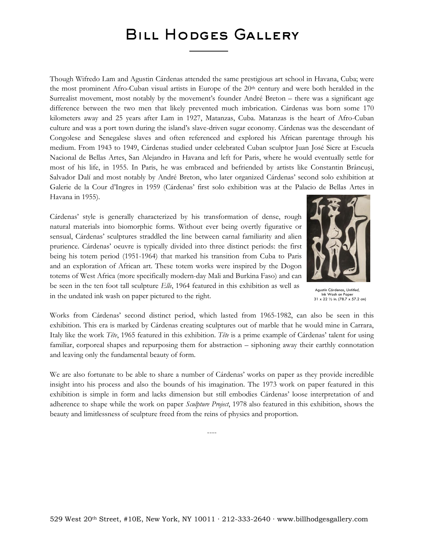## BILL HODGES GALLERY

Though Wifredo Lam and Agustin Cárdenas attended the same prestigious art school in Havana, Cuba; were the most prominent Afro-Cuban visual artists in Europe of the 20<sup>th</sup> century and were both heralded in the Surrealist movement, most notably by the movement's founder André Breton – there was a significant age difference between the two men that likely prevented much imbrication. Cárdenas was born some 170 kilometers away and 25 years after Lam in 1927, Matanzas, Cuba. Matanzas is the heart of Afro-Cuban culture and was a port town during the island's slave-driven sugar economy. Cárdenas was the descendant of Congolese and Senegalese slaves and often referenced and explored his African parentage through his medium. From 1943 to 1949, Cárdenas studied under celebrated Cuban sculptor Juan José Sicre at Escuela Nacional de Bellas Artes, San Alejandro in Havana and left for Paris, where he would eventually settle for most of his life, in 1955. In Paris, he was embraced and befriended by artists like Constantin Brâncuşi, Salvador Dalí and most notably by André Breton, who later organized Cárdenas' second solo exhibition at Galerie de la Cour d'Ingres in 1959 (Cárdenas' first solo exhibition was at the Palacio de Bellas Artes in Havana in 1955).

Cárdenas' style is generally characterized by his transformation of dense, rough natural materials into biomorphic forms. Without ever being overtly figurative or sensual, Cárdenas' sculptures straddled the line between carnal familiarity and alien prurience. Cárdenas' oeuvre is typically divided into three distinct periods: the first being his totem period (1951-1964) that marked his transition from Cuba to Paris and an exploration of African art. These totem works were inspired by the Dogon totems of West Africa (more specifically modern-day Mali and Burkina Faso) and can be seen in the ten foot tall sculpture *Elle*, 1964 featured in this exhibition as well as in the undated ink wash on paper pictured to the right.



Agustín Cárdenas, *Untitled,* Ink Wash on Paper 31 x 22 ½ in. (78.7 x 57.2 cm)

Works from Cárdenas' second distinct period, which lasted from 1965-1982, can also be seen in this exhibition. This era is marked by Cárdenas creating sculptures out of marble that he would mine in Carrara, Italy like the work *Tête*, 1965 featured in this exhibition. *Tête* is a prime example of Cárdenas' talent for using familiar, corporeal shapes and repurposing them for abstraction – siphoning away their earthly connotation and leaving only the fundamental beauty of form.

We are also fortunate to be able to share a number of Cárdenas' works on paper as they provide incredible insight into his process and also the bounds of his imagination. The 1973 work on paper featured in this exhibition is simple in form and lacks dimension but still embodies Cárdenas' loose interpretation of and adherence to shape while the work on paper *Sculpture Project*, 1978 also featured in this exhibition, shows the beauty and limitlessness of sculpture freed from the reins of physics and proportion.

----